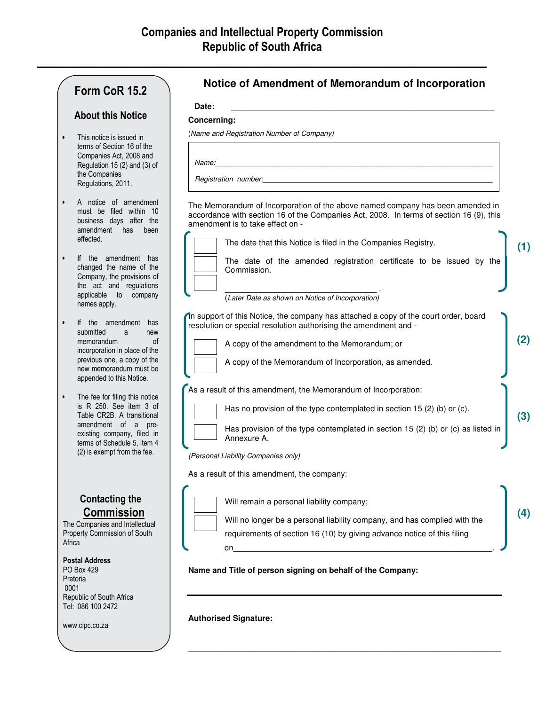**\_\_\_\_\_\_\_\_\_\_\_\_\_\_\_\_\_\_\_\_\_\_\_\_\_\_\_\_\_\_\_\_\_\_\_\_\_\_\_\_\_\_\_\_\_\_\_\_\_\_\_\_\_\_\_\_\_\_\_\_\_\_\_\_\_\_\_\_\_\_\_\_\_\_\_\_\_\_\_**

# **Form CoR 15.2**

## **About this Notice**

- This notice is issued in terms of Section 16 of the Companies Act, 2008 and Regulation 15 (2) and (3) of the Companies Regulations, 2011.
- A notice of amendment must be filed within 10 business days after the amendment has been effected.
- If the amendment has changed the name of the Company, the provisions of the act and regulations applicable to company names apply.
- If the amendment has submitted a new memorandum of incorporation in place of the previous one, a copy of the new memorandum must be appended to this Notice.
- The fee for filing this notice is R 250. See item 3 of Table CR2B. A transitional amendment of a preexisting company, filed in terms of Schedule 5, item 4 (2) is exempt from the fee.

## **Contacting the Commission**

The Companies and Intellectual Property Commission of South **Africa** 

### **Postal Address**

PO Box 429 Pretoria 0001 Republic of South Africa Tel: 086 100 2472

www.cipc.co.za

## **Notice of Amendment of Memorandum of Incorporation**

**Date:** \_\_\_\_\_\_\_\_\_\_\_\_\_\_\_\_\_\_\_\_\_\_\_\_\_\_\_\_\_\_\_\_\_\_\_\_\_\_\_\_\_\_\_\_\_\_\_\_\_\_\_\_\_\_\_\_\_\_\_

### **Concerning:**

(*Name and Registration Number of Company)* 

*Name:\_\_\_\_\_\_\_\_\_\_\_\_\_\_\_\_\_\_\_\_\_\_\_\_\_\_\_\_\_\_\_\_\_\_\_\_\_\_\_\_\_\_\_\_\_\_\_\_\_\_\_\_\_\_\_\_\_\_\_\_\_\_\_\_\_\_\_\_\_\_* 

*Registration number:* 

The Memorandum of Incorporation of the above named company has been amended in accordance with section 16 of the Companies Act, 2008. In terms of section 16 (9), this amendment is to take effect on -



The date that this Notice is filed in the Companies Registry. The date of the amended registration certificate to be issued by the Commission.

**(1)**

**(3)** 

**(4)** 

\_\_\_\_\_\_\_\_\_\_\_\_\_\_\_\_\_\_\_\_\_\_\_\_\_\_\_\_\_\_\_\_\_\_ . (*Later Date as shown on Notice of Incorporation)* 

In support of this Notice, the company has attached a copy of the court order, board resolution or special resolution authorising the amendment and - A copy of the amendment to the Memorandum; or **(2)**



A copy of the Memorandum of Incorporation, as amended.

As a result of this amendment, the Memorandum of Incorporation:



Has no provision of the type contemplated in section 15 (2) (b) or (c). Has provision of the type contemplated in section 15 (2) (b) or (c) as listed in Annexure A.

*(Personal Liability Companies only)* 

As a result of this amendment, the company:



Will remain a personal liability company;

Will no longer be a personal liability company, and has complied with the requirements of section 16 (10) by giving advance notice of this filing

**\_\_\_\_\_\_\_\_\_\_\_\_\_\_\_\_\_\_\_\_\_\_\_\_\_\_\_\_\_\_\_\_\_\_\_\_\_\_\_\_\_\_\_\_\_\_\_\_\_\_\_\_\_\_\_\_\_\_\_\_\_\_\_\_\_\_\_\_\_\_** 

on\_\_\_\_\_\_\_\_\_\_\_\_\_\_\_\_\_\_\_\_\_\_\_\_\_\_\_\_\_\_\_\_\_\_\_\_\_\_\_\_\_\_\_\_\_\_\_\_\_\_\_\_\_\_\_\_\_\_.

**Name and Title of person signing on behalf of the Company:** 

**Authorised Signature:**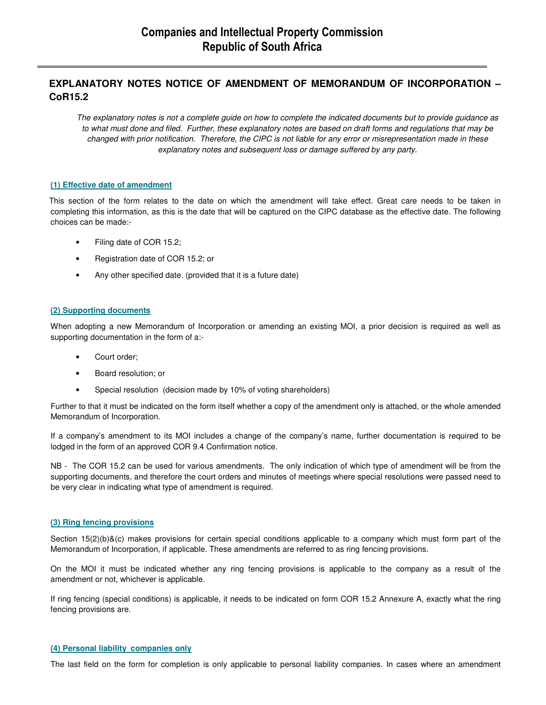**\_\_\_\_\_\_\_\_\_\_\_\_\_\_\_\_\_\_\_\_\_\_\_\_\_\_\_\_\_\_\_\_\_\_\_\_\_\_\_\_\_\_\_\_\_\_\_\_\_\_\_\_\_\_\_\_\_\_\_\_\_\_\_\_\_\_\_\_\_\_\_\_\_\_\_\_\_\_\_**

## **EXPLANATORY NOTES NOTICE OF AMENDMENT OF MEMORANDUM OF INCORPORATION – CoR15.2**

*The explanatory notes is not a complete guide on how to complete the indicated documents but to provide guidance as to what must done and filed. Further, these explanatory notes are based on draft forms and regulations that may be changed with prior notification. Therefore, the CIPC is not liable for any error or misrepresentation made in these explanatory notes and subsequent loss or damage suffered by any party.* 

### **(1) Effective date of amendment**

This section of the form relates to the date on which the amendment will take effect. Great care needs to be taken in completing this information, as this is the date that will be captured on the CIPC database as the effective date. The following choices can be made:-

- Filing date of COR 15.2;
- Registration date of COR 15.2; or
- Any other specified date. (provided that it is a future date)

### **(2) Supporting documents**

When adopting a new Memorandum of Incorporation or amending an existing MOI, a prior decision is required as well as supporting documentation in the form of a:-

- Court order;
- Board resolution; or
- Special resolution (decision made by 10% of voting shareholders)

Further to that it must be indicated on the form itself whether a copy of the amendment only is attached, or the whole amended Memorandum of Incorporation.

If a company's amendment to its MOI includes a change of the company's name, further documentation is required to be lodged in the form of an approved COR 9.4 Confirmation notice.

NB - The COR 15.2 can be used for various amendments. The only indication of which type of amendment will be from the supporting documents, and therefore the court orders and minutes of meetings where special resolutions were passed need to be very clear in indicating what type of amendment is required.

#### **(3) Ring fencing provisions**

Section 15(2)(b)&(c) makes provisions for certain special conditions applicable to a company which must form part of the Memorandum of Incorporation, if applicable. These amendments are referred to as ring fencing provisions.

On the MOI it must be indicated whether any ring fencing provisions is applicable to the company as a result of the amendment or not, whichever is applicable.

If ring fencing (special conditions) is applicable, it needs to be indicated on form COR 15.2 Annexure A, exactly what the ring fencing provisions are.

#### **(4) Personal liability companies only**

The last field on the form for completion is only applicable to personal liability companies. In cases where an amendment